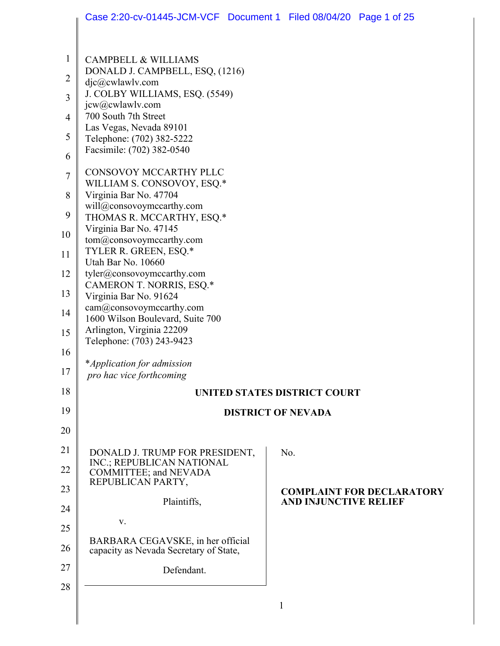|                | Case 2:20-cv-01445-JCM-VCF Document 1 Filed 08/04/20 Page 1 of 25 |                           |                                     |                                  |
|----------------|-------------------------------------------------------------------|---------------------------|-------------------------------------|----------------------------------|
|                |                                                                   |                           |                                     |                                  |
| $\mathbf{1}$   | <b>CAMPBELL &amp; WILLIAMS</b>                                    |                           |                                     |                                  |
| $\overline{2}$ | DONALD J. CAMPBELL, ESQ, (1216)                                   |                           |                                     |                                  |
| 3              | $d$ jc $@c$ wlawlv.com<br>J. COLBY WILLIAMS, ESQ. (5549)          |                           |                                     |                                  |
| 4              | jcw@cwlawlv.com<br>700 South 7th Street                           |                           |                                     |                                  |
| 5              | Las Vegas, Nevada 89101<br>Telephone: (702) 382-5222              |                           |                                     |                                  |
| 6              | Facsimile: (702) 382-0540                                         |                           |                                     |                                  |
| $\tau$         | CONSOVOY MCCARTHY PLLC                                            |                           |                                     |                                  |
| 8              | WILLIAM S. CONSOVOY, ESQ.*<br>Virginia Bar No. 47704              |                           |                                     |                                  |
|                | will@consovoymccarthy.com                                         |                           |                                     |                                  |
| 9              | THOMAS R. MCCARTHY, ESQ.*<br>Virginia Bar No. 47145               |                           |                                     |                                  |
| 10             | tom@consovoymccarthy.com<br>TYLER R. GREEN, ESQ.*                 |                           |                                     |                                  |
| 11             | Utah Bar No. 10660                                                |                           |                                     |                                  |
| 12             | tyler@consovoymccarthy.com<br>CAMERON T. NORRIS, ESQ.*            |                           |                                     |                                  |
| 13             | Virginia Bar No. 91624                                            |                           |                                     |                                  |
| 14             | cam@consovoymccarthy.com<br>1600 Wilson Boulevard, Suite 700      |                           |                                     |                                  |
| 15             | Arlington, Virginia 22209<br>Telephone: (703) 243-9423            |                           |                                     |                                  |
| 16             |                                                                   |                           |                                     |                                  |
| 17             | *Application for admission<br>pro hac vice forthcoming            |                           |                                     |                                  |
| 18             |                                                                   |                           | <b>UNITED STATES DISTRICT COURT</b> |                                  |
| 19             |                                                                   | <b>DISTRICT OF NEVADA</b> |                                     |                                  |
| 20             |                                                                   |                           |                                     |                                  |
| 21             | DONALD J. TRUMP FOR PRESIDENT,                                    |                           | No.                                 |                                  |
| 22             | INC.; REPUBLICAN NATIONAL<br>COMMITTEE; and NEVADA                |                           |                                     |                                  |
| 23             | REPUBLICAN PARTY,                                                 |                           |                                     | <b>COMPLAINT FOR DECLARATORY</b> |
| 24             | Plaintiffs,                                                       |                           | <b>AND INJUNCTIVE RELIEF</b>        |                                  |
| 25             | V.                                                                |                           |                                     |                                  |
| 26             | BARBARA CEGAVSKE, in her official                                 |                           |                                     |                                  |
| 27             | capacity as Nevada Secretary of State,                            |                           |                                     |                                  |
| 28             | Defendant.                                                        |                           |                                     |                                  |
|                |                                                                   | $\mathbf{1}$              |                                     |                                  |
|                |                                                                   |                           |                                     |                                  |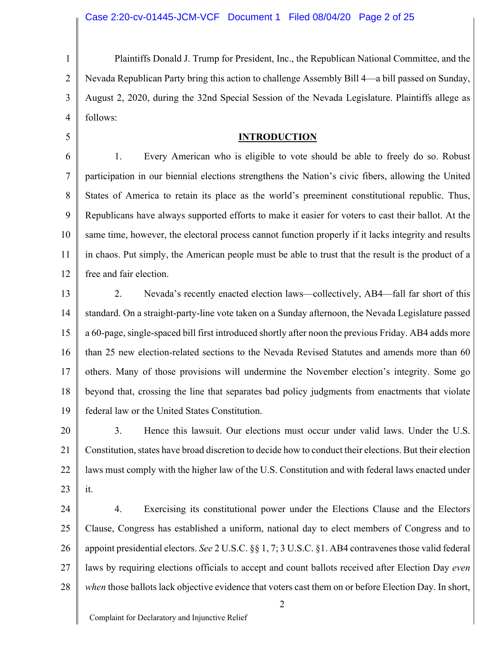1 2 3 4 Plaintiffs Donald J. Trump for President, Inc., the Republican National Committee, and the Nevada Republican Party bring this action to challenge Assembly Bill 4—a bill passed on Sunday, August 2, 2020, during the 32nd Special Session of the Nevada Legislature. Plaintiffs allege as follows:

#### **INTRODUCTION**

6 7 8 9 10 11 12 1. Every American who is eligible to vote should be able to freely do so. Robust participation in our biennial elections strengthens the Nation's civic fibers, allowing the United States of America to retain its place as the world's preeminent constitutional republic. Thus, Republicans have always supported efforts to make it easier for voters to cast their ballot. At the same time, however, the electoral process cannot function properly if it lacks integrity and results in chaos. Put simply, the American people must be able to trust that the result is the product of a free and fair election.

13 14 15 16 17 18 19 2. Nevada's recently enacted election laws—collectively, AB4—fall far short of this standard. On a straight-party-line vote taken on a Sunday afternoon, the Nevada Legislature passed a 60-page, single-spaced bill first introduced shortly after noon the previous Friday. AB4 adds more than 25 new election-related sections to the Nevada Revised Statutes and amends more than 60 others. Many of those provisions will undermine the November election's integrity. Some go beyond that, crossing the line that separates bad policy judgments from enactments that violate federal law or the United States Constitution.

20 21 22 23 3. Hence this lawsuit. Our elections must occur under valid laws. Under the U.S. Constitution, states have broad discretion to decide how to conduct their elections. But their election laws must comply with the higher law of the U.S. Constitution and with federal laws enacted under it.

24 25 26 27 28 4. Exercising its constitutional power under the Elections Clause and the Electors Clause, Congress has established a uniform, national day to elect members of Congress and to appoint presidential electors. *See* 2 U.S.C. §§ 1, 7; 3 U.S.C. §1. AB4 contravenes those valid federal laws by requiring elections officials to accept and count ballots received after Election Day *even when* those ballots lack objective evidence that voters cast them on or before Election Day. In short,

2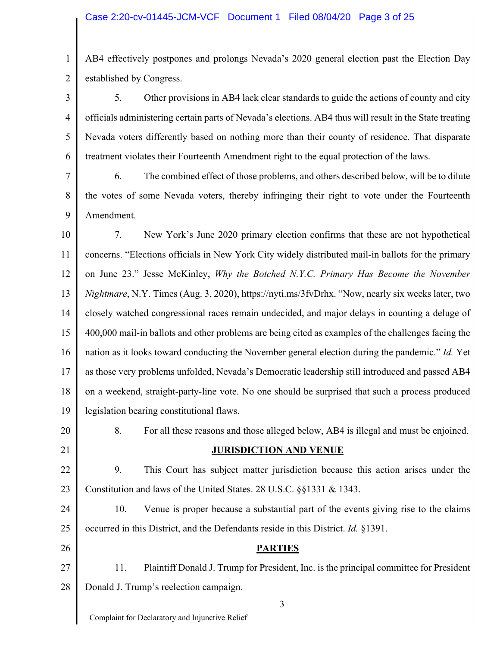1 2 AB4 effectively postpones and prolongs Nevada's 2020 general election past the Election Day established by Congress.

3 4 5 6 5. Other provisions in AB4 lack clear standards to guide the actions of county and city officials administering certain parts of Nevada's elections. AB4 thus will result in the State treating Nevada voters differently based on nothing more than their county of residence. That disparate treatment violates their Fourteenth Amendment right to the equal protection of the laws.

7 8 9 6. The combined effect of those problems, and others described below, will be to dilute the votes of some Nevada voters, thereby infringing their right to vote under the Fourteenth Amendment.

10 11 12 13 14 15 16 17 18 19 7. New York's June 2020 primary election confirms that these are not hypothetical concerns. "Elections officials in New York City widely distributed mail-in ballots for the primary on June 23." Jesse McKinley, *Why the Botched N.Y.C. Primary Has Become the November Nightmare*, N.Y. Times (Aug. 3, 2020), https://nyti.ms/3fvDrhx. "Now, nearly six weeks later, two closely watched congressional races remain undecided, and major delays in counting a deluge of 400,000 mail-in ballots and other problems are being cited as examples of the challenges facing the nation as it looks toward conducting the November general election during the pandemic." *Id.* Yet as those very problems unfolded, Nevada's Democratic leadership still introduced and passed AB4 on a weekend, straight-party-line vote. No one should be surprised that such a process produced legislation bearing constitutional flaws.

20 21

### **JURISDICTION AND VENUE**

8. For all these reasons and those alleged below, AB4 is illegal and must be enjoined.

22 23 9. This Court has subject matter jurisdiction because this action arises under the Constitution and laws of the United States. 28 U.S.C. §§1331 & 1343.

24 25 10. Venue is proper because a substantial part of the events giving rise to the claims occurred in this District, and the Defendants reside in this District. *Id.* §1391.

26 27 28 **PARTIES** 11. Plaintiff Donald J. Trump for President, Inc. is the principal committee for President Donald J. Trump's reelection campaign.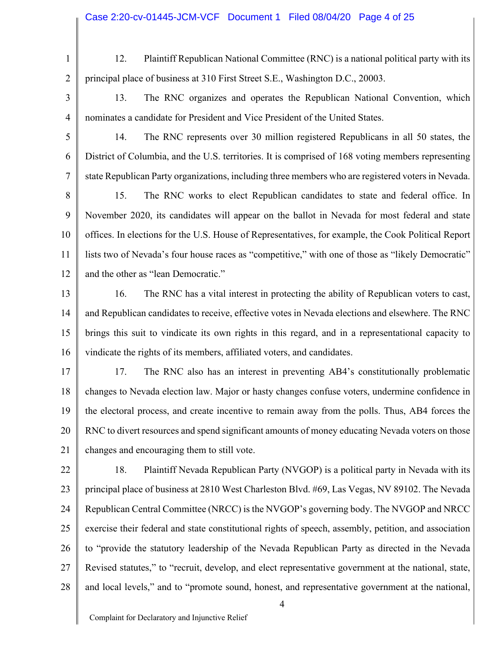2 3 4

1

12. Plaintiff Republican National Committee (RNC) is a national political party with its principal place of business at 310 First Street S.E., Washington D.C., 20003.

13. The RNC organizes and operates the Republican National Convention, which nominates a candidate for President and Vice President of the United States.

5 6 7 14. The RNC represents over 30 million registered Republicans in all 50 states, the District of Columbia, and the U.S. territories. It is comprised of 168 voting members representing state Republican Party organizations, including three members who are registered voters in Nevada.

8 9 10 11 12 15. The RNC works to elect Republican candidates to state and federal office. In November 2020, its candidates will appear on the ballot in Nevada for most federal and state offices. In elections for the U.S. House of Representatives, for example, the Cook Political Report lists two of Nevada's four house races as "competitive," with one of those as "likely Democratic" and the other as "lean Democratic."

13 14 15 16 16. The RNC has a vital interest in protecting the ability of Republican voters to cast, and Republican candidates to receive, effective votes in Nevada elections and elsewhere. The RNC brings this suit to vindicate its own rights in this regard, and in a representational capacity to vindicate the rights of its members, affiliated voters, and candidates.

17 18 19 20 21 17. The RNC also has an interest in preventing AB4's constitutionally problematic changes to Nevada election law. Major or hasty changes confuse voters, undermine confidence in the electoral process, and create incentive to remain away from the polls. Thus, AB4 forces the RNC to divert resources and spend significant amounts of money educating Nevada voters on those changes and encouraging them to still vote.

22 23 24 25 26 27 28 18. Plaintiff Nevada Republican Party (NVGOP) is a political party in Nevada with its principal place of business at 2810 West Charleston Blvd. #69, Las Vegas, NV 89102. The Nevada Republican Central Committee (NRCC) is the NVGOP's governing body. The NVGOP and NRCC exercise their federal and state constitutional rights of speech, assembly, petition, and association to "provide the statutory leadership of the Nevada Republican Party as directed in the Nevada Revised statutes," to "recruit, develop, and elect representative government at the national, state, and local levels," and to "promote sound, honest, and representative government at the national,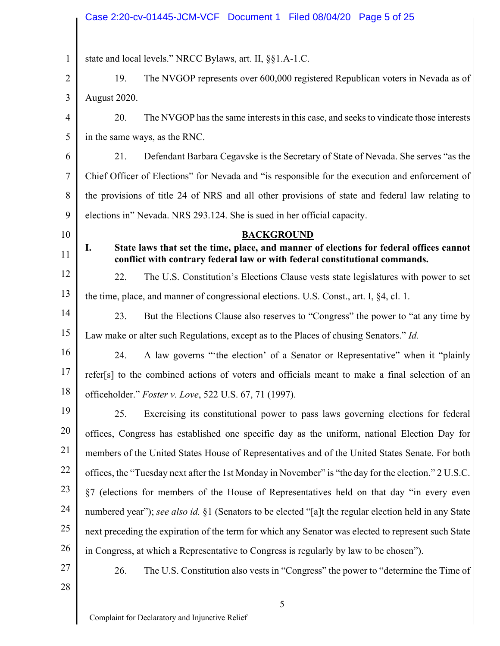## Case 2:20-cv-01445-JCM-VCF Document 1 Filed 08/04/20 Page 5 of 25

 $\mathbf{I}$  $\overline{\phantom{a}}$ 

| 1              | state and local levels." NRCC Bylaws, art. II, §§1.A-1.C.                                                                                                                    |  |
|----------------|------------------------------------------------------------------------------------------------------------------------------------------------------------------------------|--|
| $\overline{2}$ | The NVGOP represents over 600,000 registered Republican voters in Nevada as of<br>19.                                                                                        |  |
| 3              | August 2020.                                                                                                                                                                 |  |
| $\overline{4}$ | 20.<br>The NVGOP has the same interests in this case, and seeks to vindicate those interests                                                                                 |  |
| 5              | in the same ways, as the RNC.                                                                                                                                                |  |
| 6              | Defendant Barbara Cegavske is the Secretary of State of Nevada. She serves "as the<br>21.                                                                                    |  |
| 7              | Chief Officer of Elections" for Nevada and "is responsible for the execution and enforcement of                                                                              |  |
| 8              | the provisions of title 24 of NRS and all other provisions of state and federal law relating to                                                                              |  |
| 9              | elections in" Nevada. NRS 293.124. She is sued in her official capacity.                                                                                                     |  |
| 10             | <b>BACKGROUND</b>                                                                                                                                                            |  |
| 11             | State laws that set the time, place, and manner of elections for federal offices cannot<br>I.<br>conflict with contrary federal law or with federal constitutional commands. |  |
| 12             | 22.<br>The U.S. Constitution's Elections Clause vests state legislatures with power to set                                                                                   |  |
| 13             | the time, place, and manner of congressional elections. U.S. Const., art. I, §4, cl. 1.                                                                                      |  |
| 14             | 23.<br>But the Elections Clause also reserves to "Congress" the power to "at any time by                                                                                     |  |
| 15             | Law make or alter such Regulations, except as to the Places of chusing Senators." Id.                                                                                        |  |
| 16             | A law governs "the election' of a Senator or Representative" when it "plainly<br>24.                                                                                         |  |
| 17             | refer[s] to the combined actions of voters and officials meant to make a final selection of an                                                                               |  |
| 18             | officeholder." Foster v. Love, 522 U.S. 67, 71 (1997).                                                                                                                       |  |
| 19             | 25.<br>Exercising its constitutional power to pass laws governing elections for federal                                                                                      |  |
| 20             | offices, Congress has established one specific day as the uniform, national Election Day for                                                                                 |  |
| 21             | members of the United States House of Representatives and of the United States Senate. For both                                                                              |  |
| 22             | offices, the "Tuesday next after the 1st Monday in November" is "the day for the election." 2 U.S.C.                                                                         |  |
| 23             | §7 (elections for members of the House of Representatives held on that day "in every even                                                                                    |  |
| 24             | numbered year"); see also id. §1 (Senators to be elected "[a]t the regular election held in any State                                                                        |  |
| 25             | next preceding the expiration of the term for which any Senator was elected to represent such State                                                                          |  |
| 26             | in Congress, at which a Representative to Congress is regularly by law to be chosen").                                                                                       |  |
| 27             | 26.<br>The U.S. Constitution also vests in "Congress" the power to "determine the Time of                                                                                    |  |
| 28             |                                                                                                                                                                              |  |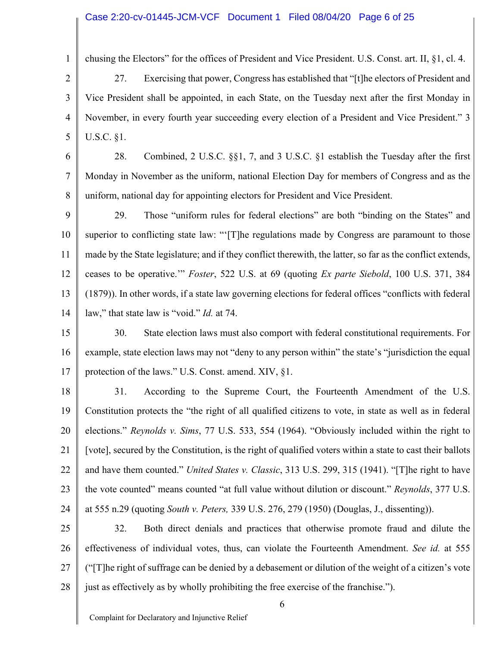#### Case 2:20-cv-01445-JCM-VCF Document 1 Filed 08/04/20 Page 6 of 25

1

2

3

5

chusing the Electors" for the offices of President and Vice President. U.S. Const. art. II, §1, cl. 4.

4 27. Exercising that power, Congress has established that "[t]he electors of President and Vice President shall be appointed, in each State, on the Tuesday next after the first Monday in November, in every fourth year succeeding every election of a President and Vice President." 3 U.S.C. §1.

6 7 8 28. Combined, 2 U.S.C. §§1, 7, and 3 U.S.C. §1 establish the Tuesday after the first Monday in November as the uniform, national Election Day for members of Congress and as the uniform, national day for appointing electors for President and Vice President.

9 10 11 12 13 14 29. Those "uniform rules for federal elections" are both "binding on the States" and superior to conflicting state law: "'[T]he regulations made by Congress are paramount to those made by the State legislature; and if they conflict therewith, the latter, so far as the conflict extends, ceases to be operative.'" *Foster*, 522 U.S. at 69 (quoting *Ex parte Siebold*, 100 U.S. 371, 384 (1879)). In other words, if a state law governing elections for federal offices "conflicts with federal law," that state law is "void." *Id.* at 74.

15 16 17 30. State election laws must also comport with federal constitutional requirements. For example, state election laws may not "deny to any person within" the state's "jurisdiction the equal protection of the laws." U.S. Const. amend. XIV, §1.

18 19 20 21 22 23 24 31. According to the Supreme Court, the Fourteenth Amendment of the U.S. Constitution protects the "the right of all qualified citizens to vote, in state as well as in federal elections." *Reynolds v. Sims*, 77 U.S. 533, 554 (1964). "Obviously included within the right to [vote], secured by the Constitution, is the right of qualified voters within a state to cast their ballots and have them counted." *United States v. Classic*, 313 U.S. 299, 315 (1941). "[T]he right to have the vote counted" means counted "at full value without dilution or discount." *Reynolds*, 377 U.S. at 555 n.29 (quoting *South v. Peters,* 339 U.S. 276, 279 (1950) (Douglas, J., dissenting)).

25 26 27 28 32. Both direct denials and practices that otherwise promote fraud and dilute the effectiveness of individual votes, thus, can violate the Fourteenth Amendment. *See id.* at 555 ("[T]he right of suffrage can be denied by a debasement or dilution of the weight of a citizen's vote just as effectively as by wholly prohibiting the free exercise of the franchise.").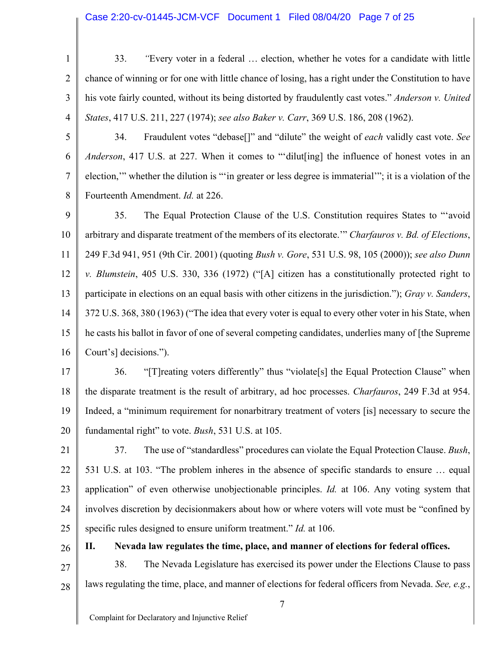#### Case 2:20-cv-01445-JCM-VCF Document 1 Filed 08/04/20 Page 7 of 25

- 1 2 3 4 33. *"*Every voter in a federal … election, whether he votes for a candidate with little chance of winning or for one with little chance of losing, has a right under the Constitution to have his vote fairly counted, without its being distorted by fraudulently cast votes." *Anderson v. United States*, 417 U.S. 211, 227 (1974); *see also Baker v. Carr*, 369 U.S. 186, 208 (1962).
- 5

6

7

8

26

34. Fraudulent votes "debase[]" and "dilute" the weight of *each* validly cast vote. *See Anderson*, 417 U.S. at 227. When it comes to "'dilut[ing] the influence of honest votes in an election,'" whether the dilution is "'in greater or less degree is immaterial'"; it is a violation of the Fourteenth Amendment. *Id.* at 226.

9 10 11 12 13 14 15 16 35. The Equal Protection Clause of the U.S. Constitution requires States to "'avoid arbitrary and disparate treatment of the members of its electorate.'" *Charfauros v. Bd. of Elections*, 249 F.3d 941, 951 (9th Cir. 2001) (quoting *Bush v. Gore*, 531 U.S. 98, 105 (2000)); *see also Dunn v. Blumstein*, 405 U.S. 330, 336 (1972) ("[A] citizen has a constitutionally protected right to participate in elections on an equal basis with other citizens in the jurisdiction."); *Gray v. Sanders*, 372 U.S. 368, 380 (1963) ("The idea that every voter is equal to every other voter in his State, when he casts his ballot in favor of one of several competing candidates, underlies many of [the Supreme Court's] decisions.").

17 18 19 20 36. "[T]reating voters differently" thus "violate[s] the Equal Protection Clause" when the disparate treatment is the result of arbitrary, ad hoc processes. *Charfauros*, 249 F.3d at 954. Indeed, a "minimum requirement for nonarbitrary treatment of voters [is] necessary to secure the fundamental right" to vote. *Bush*, 531 U.S. at 105.

21 22 23 24 25 37. The use of "standardless" procedures can violate the Equal Protection Clause. *Bush*, 531 U.S. at 103. "The problem inheres in the absence of specific standards to ensure … equal application" of even otherwise unobjectionable principles. *Id.* at 106. Any voting system that involves discretion by decisionmakers about how or where voters will vote must be "confined by specific rules designed to ensure uniform treatment." *Id.* at 106.

**II. Nevada law regulates the time, place, and manner of elections for federal offices.**

27 28 38. The Nevada Legislature has exercised its power under the Elections Clause to pass laws regulating the time, place, and manner of elections for federal officers from Nevada. *See, e.g.*,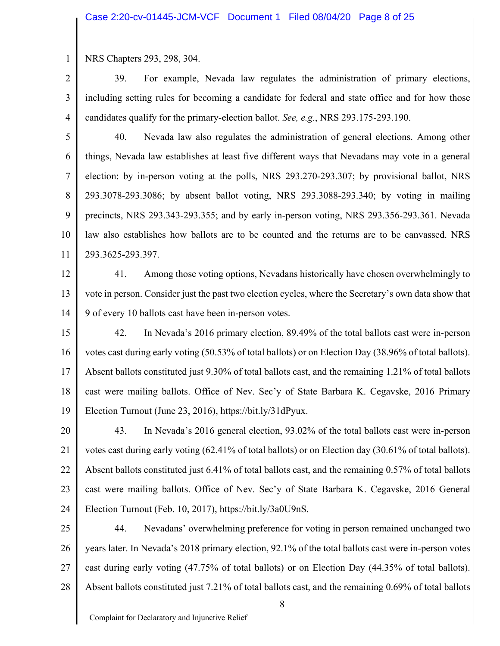1 NRS Chapters 293, 298, 304.

2 3 4 39. For example, Nevada law regulates the administration of primary elections, including setting rules for becoming a candidate for federal and state office and for how those candidates qualify for the primary-election ballot. *See, e.g.*, NRS 293.175-293.190.

5 6 7 8 9 10 11 40. Nevada law also regulates the administration of general elections. Among other things, Nevada law establishes at least five different ways that Nevadans may vote in a general election: by in-person voting at the polls, NRS 293.270-293.307; by provisional ballot, NRS 293.3078-293.3086; by absent ballot voting, NRS 293.3088-293.340; by voting in mailing precincts, NRS 293.343-293.355; and by early in-person voting, NRS 293.356-293.361. Nevada law also establishes how ballots are to be counted and the returns are to be canvassed. NRS 293.3625**-**293.397.

12

13 14 41. Among those voting options, Nevadans historically have chosen overwhelmingly to vote in person. Consider just the past two election cycles, where the Secretary's own data show that 9 of every 10 ballots cast have been in-person votes.

15 16 17 18 19 42. In Nevada's 2016 primary election, 89.49% of the total ballots cast were in-person votes cast during early voting (50.53% of total ballots) or on Election Day (38.96% of total ballots). Absent ballots constituted just 9.30% of total ballots cast, and the remaining 1.21% of total ballots cast were mailing ballots. Office of Nev. Sec'y of State Barbara K. Cegavske, 2016 Primary Election Turnout (June 23, 2016), https://bit.ly/31dPyux.

20 21 22 23 24 43. In Nevada's 2016 general election, 93.02% of the total ballots cast were in-person votes cast during early voting (62.41% of total ballots) or on Election day (30.61% of total ballots). Absent ballots constituted just 6.41% of total ballots cast, and the remaining 0.57% of total ballots cast were mailing ballots. Office of Nev. Sec'y of State Barbara K. Cegavske, 2016 General Election Turnout (Feb. 10, 2017), https://bit.ly/3a0U9nS.

25 26 27 28 44. Nevadans' overwhelming preference for voting in person remained unchanged two years later. In Nevada's 2018 primary election, 92.1% of the total ballots cast were in-person votes cast during early voting (47.75% of total ballots) or on Election Day (44.35% of total ballots). Absent ballots constituted just 7.21% of total ballots cast, and the remaining 0.69% of total ballots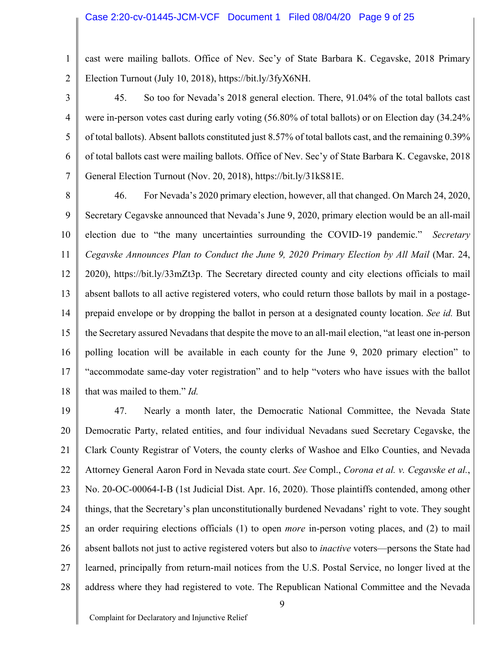1 2 cast were mailing ballots. Office of Nev. Sec'y of State Barbara K. Cegavske, 2018 Primary Election Turnout (July 10, 2018), https://bit.ly/3fyX6NH.

3

4

5

6

7

45. So too for Nevada's 2018 general election. There, 91.04% of the total ballots cast were in-person votes cast during early voting (56.80% of total ballots) or on Election day (34.24% of total ballots). Absent ballots constituted just 8.57% of total ballots cast, and the remaining 0.39% of total ballots cast were mailing ballots. Office of Nev. Sec'y of State Barbara K. Cegavske, 2018 General Election Turnout (Nov. 20, 2018), https://bit.ly/31kS81E.

8 9 10 11 12 13 14 15 16 17 18 46. For Nevada's 2020 primary election, however, all that changed. On March 24, 2020, Secretary Cegavske announced that Nevada's June 9, 2020, primary election would be an all-mail election due to "the many uncertainties surrounding the COVID-19 pandemic." *Secretary Cegavske Announces Plan to Conduct the June 9, 2020 Primary Election by All Mail* (Mar. 24, 2020), https://bit.ly/33mZt3p. The Secretary directed county and city elections officials to mail absent ballots to all active registered voters, who could return those ballots by mail in a postageprepaid envelope or by dropping the ballot in person at a designated county location. *See id.* But the Secretary assured Nevadans that despite the move to an all-mail election, "at least one in-person polling location will be available in each county for the June 9, 2020 primary election" to "accommodate same-day voter registration" and to help "voters who have issues with the ballot that was mailed to them." *Id.*

19 20 21 22 23 24 25 26 27 28 47. Nearly a month later, the Democratic National Committee, the Nevada State Democratic Party, related entities, and four individual Nevadans sued Secretary Cegavske, the Clark County Registrar of Voters, the county clerks of Washoe and Elko Counties, and Nevada Attorney General Aaron Ford in Nevada state court. *See* Compl., *Corona et al. v. Cegavske et al.*, No. 20-OC-00064-I-B (1st Judicial Dist. Apr. 16, 2020). Those plaintiffs contended, among other things, that the Secretary's plan unconstitutionally burdened Nevadans' right to vote. They sought an order requiring elections officials (1) to open *more* in-person voting places, and (2) to mail absent ballots not just to active registered voters but also to *inactive* voters—persons the State had learned, principally from return-mail notices from the U.S. Postal Service, no longer lived at the address where they had registered to vote. The Republican National Committee and the Nevada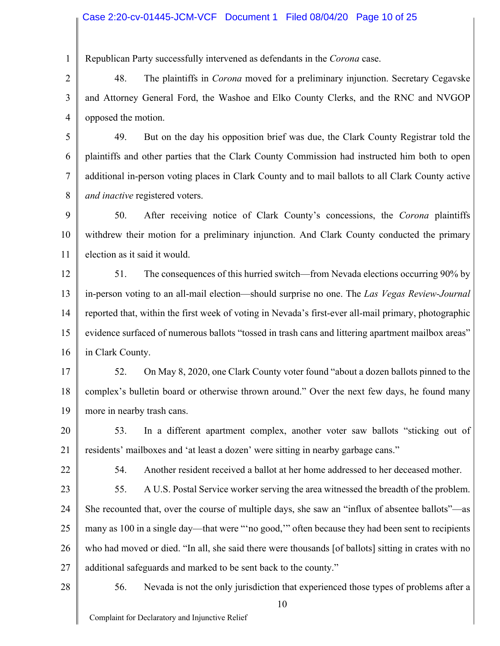#### Case 2:20-cv-01445-JCM-VCF Document 1 Filed 08/04/20 Page 10 of 25

Republican Party successfully intervened as defendants in the *Corona* case.

2 3 4 48. The plaintiffs in *Corona* moved for a preliminary injunction. Secretary Cegavske and Attorney General Ford, the Washoe and Elko County Clerks, and the RNC and NVGOP opposed the motion.

5 6 7 8 49. But on the day his opposition brief was due, the Clark County Registrar told the plaintiffs and other parties that the Clark County Commission had instructed him both to open additional in-person voting places in Clark County and to mail ballots to all Clark County active *and inactive* registered voters.

9 10 11 50. After receiving notice of Clark County's concessions, the *Corona* plaintiffs withdrew their motion for a preliminary injunction. And Clark County conducted the primary election as it said it would.

12 13 14 15 16 51. The consequences of this hurried switch—from Nevada elections occurring 90% by in-person voting to an all-mail election—should surprise no one. The *Las Vegas Review-Journal* reported that, within the first week of voting in Nevada's first-ever all-mail primary, photographic evidence surfaced of numerous ballots "tossed in trash cans and littering apartment mailbox areas" in Clark County.

17 18 19 52. On May 8, 2020, one Clark County voter found "about a dozen ballots pinned to the complex's bulletin board or otherwise thrown around." Over the next few days, he found many more in nearby trash cans.

20 21 53. In a different apartment complex, another voter saw ballots "sticking out of residents' mailboxes and 'at least a dozen' were sitting in nearby garbage cans."

22

1

54. Another resident received a ballot at her home addressed to her deceased mother.

23 24 25 26 27 55. A U.S. Postal Service worker serving the area witnessed the breadth of the problem. She recounted that, over the course of multiple days, she saw an "influx of absentee ballots"—as many as 100 in a single day—that were "'no good,'" often because they had been sent to recipients who had moved or died. "In all, she said there were thousands [of ballots] sitting in crates with no additional safeguards and marked to be sent back to the county."

28

56. Nevada is not the only jurisdiction that experienced those types of problems after a

Complaint for Declaratory and Injunctive Relief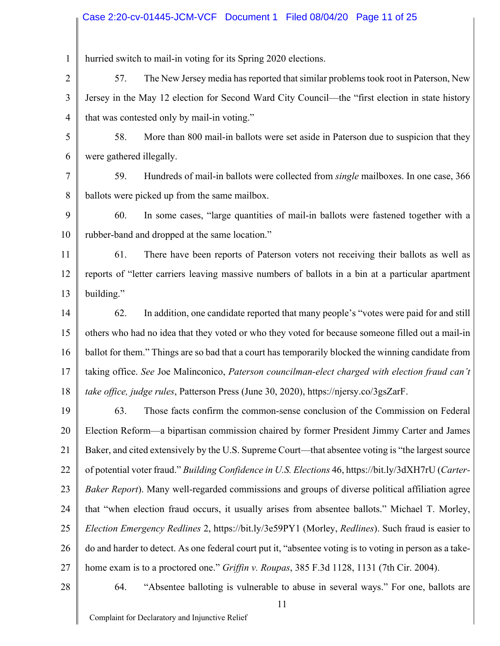#### Case 2:20-cv-01445-JCM-VCF Document 1 Filed 08/04/20 Page 11 of 25

1 hurried switch to mail-in voting for its Spring 2020 elections.

2 3 4 57. The New Jersey media has reported that similar problems took root in Paterson, New Jersey in the May 12 election for Second Ward City Council—the "first election in state history that was contested only by mail-in voting."

5 6 58. More than 800 mail-in ballots were set aside in Paterson due to suspicion that they were gathered illegally.

7 8 59. Hundreds of mail-in ballots were collected from *single* mailboxes. In one case, 366 ballots were picked up from the same mailbox.

9 10 60. In some cases, "large quantities of mail-in ballots were fastened together with a rubber-band and dropped at the same location."

11 12 13 61. There have been reports of Paterson voters not receiving their ballots as well as reports of "letter carriers leaving massive numbers of ballots in a bin at a particular apartment building."

14 15 16 17 18 62. In addition, one candidate reported that many people's "votes were paid for and still others who had no idea that they voted or who they voted for because someone filled out a mail-in ballot for them." Things are so bad that a court has temporarily blocked the winning candidate from taking office. *See* Joe Malinconico, *Paterson councilman-elect charged with election fraud can't take office, judge rules*, Patterson Press (June 30, 2020), https://njersy.co/3gsZarF.

19 20 21 22 23 24 25 26 27 63. Those facts confirm the common-sense conclusion of the Commission on Federal Election Reform—a bipartisan commission chaired by former President Jimmy Carter and James Baker, and cited extensively by the U.S. Supreme Court—that absentee voting is "the largest source of potential voter fraud." *Building Confidence in U.S. Elections* 46, https://bit.ly/3dXH7rU (*Carter-Baker Report*). Many well-regarded commissions and groups of diverse political affiliation agree that "when election fraud occurs, it usually arises from absentee ballots." Michael T. Morley, *Election Emergency Redlines* 2, https://bit.ly/3e59PY1 (Morley, *Redlines*). Such fraud is easier to do and harder to detect. As one federal court put it, "absentee voting is to voting in person as a takehome exam is to a proctored one." *Griffin v. Roupas*, 385 F.3d 1128, 1131 (7th Cir. 2004).

28

64. "Absentee balloting is vulnerable to abuse in several ways." For one, ballots are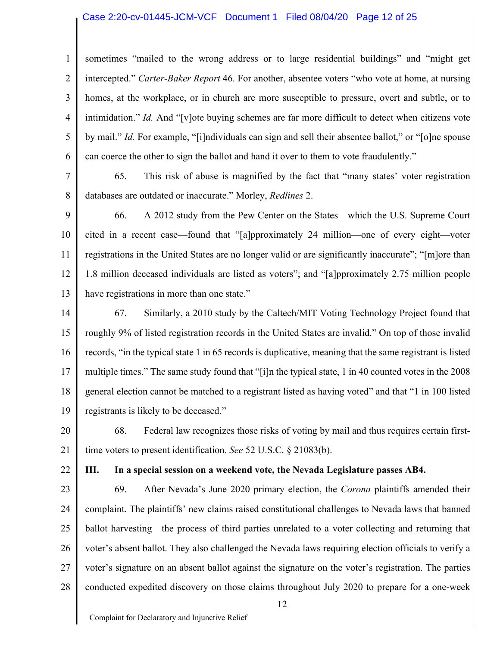#### Case 2:20-cv-01445-JCM-VCF Document 1 Filed 08/04/20 Page 12 of 25

1 2 3 4 5 6 sometimes "mailed to the wrong address or to large residential buildings" and "might get intercepted." *Carter-Baker Report* 46. For another, absentee voters "who vote at home, at nursing homes, at the workplace, or in church are more susceptible to pressure, overt and subtle, or to intimidation." *Id.* And "[v]ote buying schemes are far more difficult to detect when citizens vote by mail." *Id.* For example, "[i]ndividuals can sign and sell their absentee ballot," or "[o]ne spouse can coerce the other to sign the ballot and hand it over to them to vote fraudulently."

7 8 65. This risk of abuse is magnified by the fact that "many states' voter registration databases are outdated or inaccurate." Morley, *Redlines* 2.

9 10 11 12 13 66. A 2012 study from the Pew Center on the States—which the U.S. Supreme Court cited in a recent case—found that "[a]pproximately 24 million—one of every eight—voter registrations in the United States are no longer valid or are significantly inaccurate"; "[m]ore than 1.8 million deceased individuals are listed as voters"; and "[a]pproximately 2.75 million people have registrations in more than one state."

14 15 16 17 18 19 67. Similarly, a 2010 study by the Caltech/MIT Voting Technology Project found that roughly 9% of listed registration records in the United States are invalid." On top of those invalid records, "in the typical state 1 in 65 records is duplicative, meaning that the same registrant is listed multiple times." The same study found that "[i]n the typical state, 1 in 40 counted votes in the 2008 general election cannot be matched to a registrant listed as having voted" and that "1 in 100 listed registrants is likely to be deceased."

20 21 68. Federal law recognizes those risks of voting by mail and thus requires certain firsttime voters to present identification. *See* 52 U.S.C. § 21083(b).

22

#### **III. In a special session on a weekend vote, the Nevada Legislature passes AB4.**

23 24 25 26 27 28 69. After Nevada's June 2020 primary election, the *Corona* plaintiffs amended their complaint. The plaintiffs' new claims raised constitutional challenges to Nevada laws that banned ballot harvesting—the process of third parties unrelated to a voter collecting and returning that voter's absent ballot. They also challenged the Nevada laws requiring election officials to verify a voter's signature on an absent ballot against the signature on the voter's registration. The parties conducted expedited discovery on those claims throughout July 2020 to prepare for a one-week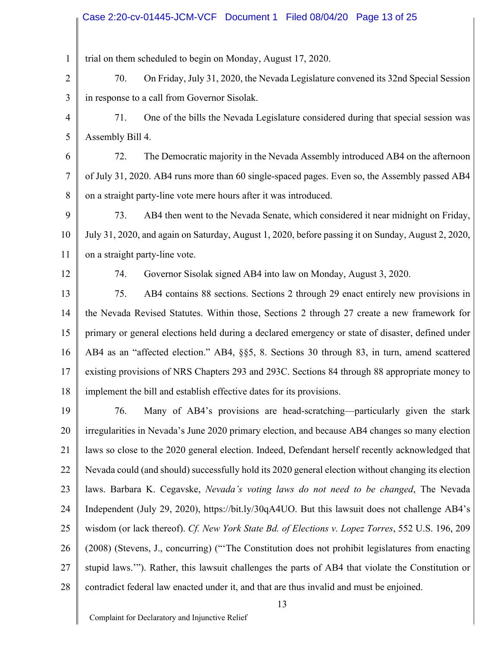#### Case 2:20-cv-01445-JCM-VCF Document 1 Filed 08/04/20 Page 13 of 25

1 trial on them scheduled to begin on Monday, August 17, 2020.

2 3 70. On Friday, July 31, 2020, the Nevada Legislature convened its 32nd Special Session in response to a call from Governor Sisolak.

4 5 71. One of the bills the Nevada Legislature considered during that special session was Assembly Bill 4.

6 7 8 72. The Democratic majority in the Nevada Assembly introduced AB4 on the afternoon of July 31, 2020. AB4 runs more than 60 single-spaced pages. Even so, the Assembly passed AB4 on a straight party-line vote mere hours after it was introduced.

9 10 11 73. AB4 then went to the Nevada Senate, which considered it near midnight on Friday, July 31, 2020, and again on Saturday, August 1, 2020, before passing it on Sunday, August 2, 2020, on a straight party-line vote.

12

74. Governor Sisolak signed AB4 into law on Monday, August 3, 2020.

13 14 15 16 17 18 75. AB4 contains 88 sections. Sections 2 through 29 enact entirely new provisions in the Nevada Revised Statutes. Within those, Sections 2 through 27 create a new framework for primary or general elections held during a declared emergency or state of disaster, defined under AB4 as an "affected election." AB4, §§5, 8. Sections 30 through 83, in turn, amend scattered existing provisions of NRS Chapters 293 and 293C. Sections 84 through 88 appropriate money to implement the bill and establish effective dates for its provisions.

19 20 21 22 23 24 25 26 27 28 76. Many of AB4's provisions are head-scratching—particularly given the stark irregularities in Nevada's June 2020 primary election, and because AB4 changes so many election laws so close to the 2020 general election. Indeed, Defendant herself recently acknowledged that Nevada could (and should) successfully hold its 2020 general election without changing its election laws. Barbara K. Cegavske, *Nevada's voting laws do not need to be changed*, The Nevada Independent (July 29, 2020), https://bit.ly/30qA4UO. But this lawsuit does not challenge AB4's wisdom (or lack thereof). *Cf. New York State Bd. of Elections v. Lopez Torres*, 552 U.S. 196, 209 (2008) (Stevens, J., concurring) ("'The Constitution does not prohibit legislatures from enacting stupid laws.'"). Rather, this lawsuit challenges the parts of AB4 that violate the Constitution or contradict federal law enacted under it, and that are thus invalid and must be enjoined.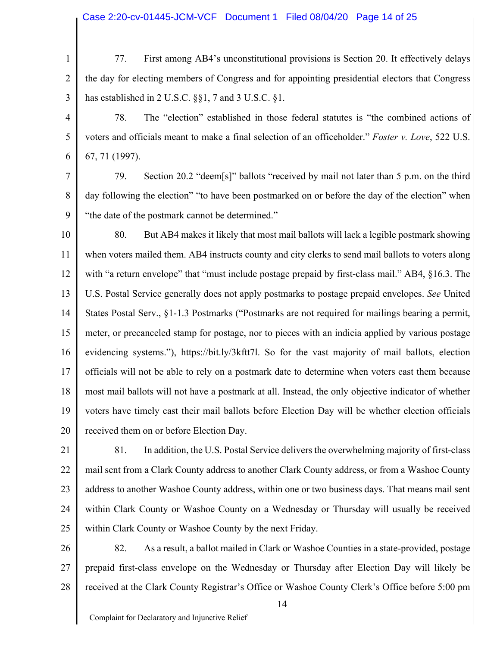#### Case 2:20-cv-01445-JCM-VCF Document 1 Filed 08/04/20 Page 14 of 25

1 2 3 77. First among AB4's unconstitutional provisions is Section 20. It effectively delays the day for electing members of Congress and for appointing presidential electors that Congress has established in 2 U.S.C. §§1, 7 and 3 U.S.C. §1.

4 5 6 78. The "election" established in those federal statutes is "the combined actions of voters and officials meant to make a final selection of an officeholder." *Foster v. Love*, 522 U.S. 67, 71 (1997).

7 8 9 79. Section 20.2 "deem[s]" ballots "received by mail not later than 5 p.m. on the third day following the election" "to have been postmarked on or before the day of the election" when "the date of the postmark cannot be determined."

10 11 12 13 14 15 16 17 18 19 20 80. But AB4 makes it likely that most mail ballots will lack a legible postmark showing when voters mailed them. AB4 instructs county and city clerks to send mail ballots to voters along with "a return envelope" that "must include postage prepaid by first-class mail." AB4, §16.3. The U.S. Postal Service generally does not apply postmarks to postage prepaid envelopes. *See* United States Postal Serv., §1-1.3 Postmarks ("Postmarks are not required for mailings bearing a permit, meter, or precanceled stamp for postage, nor to pieces with an indicia applied by various postage evidencing systems."), https://bit.ly/3kftt7l. So for the vast majority of mail ballots, election officials will not be able to rely on a postmark date to determine when voters cast them because most mail ballots will not have a postmark at all. Instead, the only objective indicator of whether voters have timely cast their mail ballots before Election Day will be whether election officials received them on or before Election Day.

- 21 22 23 24 25 81. In addition, the U.S. Postal Service delivers the overwhelming majority of first-class mail sent from a Clark County address to another Clark County address, or from a Washoe County address to another Washoe County address, within one or two business days. That means mail sent within Clark County or Washoe County on a Wednesday or Thursday will usually be received within Clark County or Washoe County by the next Friday.
- 26 27 28 82. As a result, a ballot mailed in Clark or Washoe Counties in a state-provided, postage prepaid first-class envelope on the Wednesday or Thursday after Election Day will likely be received at the Clark County Registrar's Office or Washoe County Clerk's Office before 5:00 pm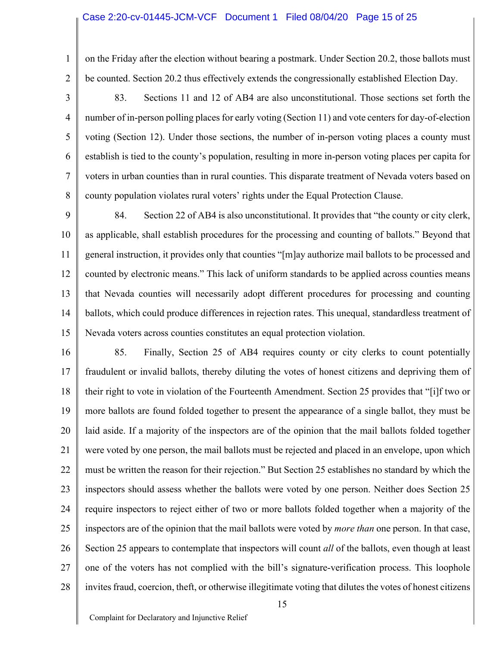#### Case 2:20-cv-01445-JCM-VCF Document 1 Filed 08/04/20 Page 15 of 25

1

2

3

4

5

6

7

8

on the Friday after the election without bearing a postmark. Under Section 20.2, those ballots must be counted. Section 20.2 thus effectively extends the congressionally established Election Day.

83. Sections 11 and 12 of AB4 are also unconstitutional. Those sections set forth the number of in-person polling places for early voting (Section 11) and vote centers for day-of-election voting (Section 12). Under those sections, the number of in-person voting places a county must establish is tied to the county's population, resulting in more in-person voting places per capita for voters in urban counties than in rural counties. This disparate treatment of Nevada voters based on county population violates rural voters' rights under the Equal Protection Clause.

9 10 11 12 13 14 15 84. Section 22 of AB4 is also unconstitutional. It provides that "the county or city clerk, as applicable, shall establish procedures for the processing and counting of ballots." Beyond that general instruction, it provides only that counties "[m]ay authorize mail ballots to be processed and counted by electronic means." This lack of uniform standards to be applied across counties means that Nevada counties will necessarily adopt different procedures for processing and counting ballots, which could produce differences in rejection rates. This unequal, standardless treatment of Nevada voters across counties constitutes an equal protection violation.

16 17 18 19 20 21 22 23 24 25 26 27 28 85. Finally, Section 25 of AB4 requires county or city clerks to count potentially fraudulent or invalid ballots, thereby diluting the votes of honest citizens and depriving them of their right to vote in violation of the Fourteenth Amendment. Section 25 provides that "[i]f two or more ballots are found folded together to present the appearance of a single ballot, they must be laid aside. If a majority of the inspectors are of the opinion that the mail ballots folded together were voted by one person, the mail ballots must be rejected and placed in an envelope, upon which must be written the reason for their rejection." But Section 25 establishes no standard by which the inspectors should assess whether the ballots were voted by one person. Neither does Section 25 require inspectors to reject either of two or more ballots folded together when a majority of the inspectors are of the opinion that the mail ballots were voted by *more than* one person. In that case, Section 25 appears to contemplate that inspectors will count *all* of the ballots, even though at least one of the voters has not complied with the bill's signature-verification process. This loophole invites fraud, coercion, theft, or otherwise illegitimate voting that dilutes the votes of honest citizens

Complaint for Declaratory and Injunctive Relief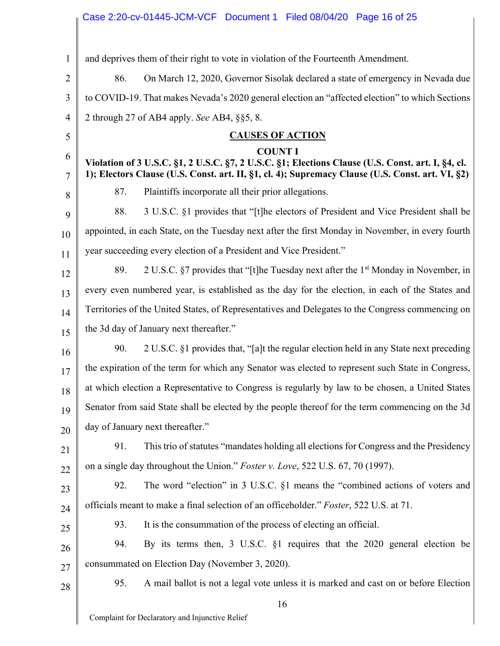# Case 2:20-cv-01445-JCM-VCF Document 1 Filed 08/04/20 Page 16 of 25

| 1              | and deprives them of their right to vote in violation of the Fourteenth Amendment.                                                                                                                                      |  |
|----------------|-------------------------------------------------------------------------------------------------------------------------------------------------------------------------------------------------------------------------|--|
| $\overline{2}$ | 86.<br>On March 12, 2020, Governor Sisolak declared a state of emergency in Nevada due                                                                                                                                  |  |
| 3              | to COVID-19. That makes Nevada's 2020 general election an "affected election" to which Sections                                                                                                                         |  |
| 4              | 2 through 27 of AB4 apply. See AB4, §§5, 8.                                                                                                                                                                             |  |
| 5              | <b>CAUSES OF ACTION</b>                                                                                                                                                                                                 |  |
| 6<br>7         | <b>COUNT I</b><br>Violation of 3 U.S.C. §1, 2 U.S.C. §7, 2 U.S.C. §1; Elections Clause (U.S. Const. art. I, §4, cl.<br>1); Electors Clause (U.S. Const. art. II, §1, cl. 4); Supremacy Clause (U.S. Const. art. VI, §2) |  |
| 8              | Plaintiffs incorporate all their prior allegations.<br>87.                                                                                                                                                              |  |
| 9              | 3 U.S.C. §1 provides that "[t]he electors of President and Vice President shall be<br>88.                                                                                                                               |  |
| 10             | appointed, in each State, on the Tuesday next after the first Monday in November, in every fourth                                                                                                                       |  |
| 11             | year succeeding every election of a President and Vice President."                                                                                                                                                      |  |
| 12             | 2 U.S.C. §7 provides that "[t]he Tuesday next after the 1 <sup>st</sup> Monday in November, in<br>89.                                                                                                                   |  |
| 13             | every even numbered year, is established as the day for the election, in each of the States and                                                                                                                         |  |
| 14             | Territories of the United States, of Representatives and Delegates to the Congress commencing on                                                                                                                        |  |
| 15             | the 3d day of January next thereafter."                                                                                                                                                                                 |  |
| 16             | 90.<br>2 U.S.C. §1 provides that, "[a]t the regular election held in any State next preceding                                                                                                                           |  |
| 17             | the expiration of the term for which any Senator was elected to represent such State in Congress,                                                                                                                       |  |
| 18             | at which election a Representative to Congress is regularly by law to be chosen, a United States                                                                                                                        |  |
| 19             | Senator from said State shall be elected by the people thereof for the term commencing on the 3d                                                                                                                        |  |
| 20             | day of January next thereafter."                                                                                                                                                                                        |  |
| 21             | 91.<br>This trio of statutes "mandates holding all elections for Congress and the Presidency                                                                                                                            |  |
| 22             | on a single day throughout the Union." Foster v. Love, 522 U.S. 67, 70 (1997).                                                                                                                                          |  |
| 23             | The word "election" in 3 U.S.C. §1 means the "combined actions of voters and<br>92.                                                                                                                                     |  |
| 24             | officials meant to make a final selection of an officeholder." Foster, 522 U.S. at 71.                                                                                                                                  |  |
| 25             | It is the consummation of the process of electing an official.<br>93.                                                                                                                                                   |  |
| 26             | By its terms then, 3 U.S.C. §1 requires that the 2020 general election be<br>94.                                                                                                                                        |  |
| 27             | consummated on Election Day (November 3, 2020).                                                                                                                                                                         |  |
| 28             | 95.<br>A mail ballot is not a legal vote unless it is marked and cast on or before Election                                                                                                                             |  |
|                | 16                                                                                                                                                                                                                      |  |
|                | Complaint for Declaratory and Injunctive Relief                                                                                                                                                                         |  |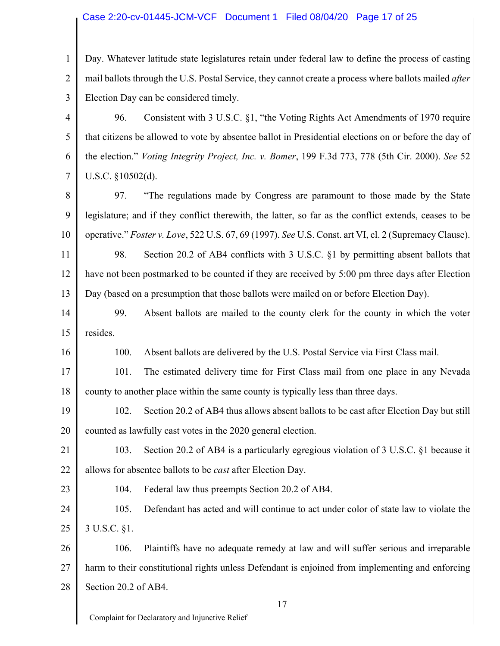#### Case 2:20-cv-01445-JCM-VCF Document 1 Filed 08/04/20 Page 17 of 25

1 2 3 Day. Whatever latitude state legislatures retain under federal law to define the process of casting mail ballots through the U.S. Postal Service, they cannot create a process where ballots mailed *after* Election Day can be considered timely.

4 5 6 7 96. Consistent with 3 U.S.C. §1, "the Voting Rights Act Amendments of 1970 require that citizens be allowed to vote by absentee ballot in Presidential elections on or before the day of the election." *Voting Integrity Project, Inc. v. Bomer*, 199 F.3d 773, 778 (5th Cir. 2000). *See* 52 U.S.C. §10502(d).

8 9 10 97. "The regulations made by Congress are paramount to those made by the State legislature; and if they conflict therewith, the latter, so far as the conflict extends, ceases to be operative." *Foster v. Love*, 522 U.S. 67, 69 (1997). *See* U.S. Const. art VI, cl. 2 (Supremacy Clause).

11 12 13 98. Section 20.2 of AB4 conflicts with 3 U.S.C. §1 by permitting absent ballots that have not been postmarked to be counted if they are received by 5:00 pm three days after Election Day (based on a presumption that those ballots were mailed on or before Election Day).

14 15 99. Absent ballots are mailed to the county clerk for the county in which the voter resides.

100. Absent ballots are delivered by the U.S. Postal Service via First Class mail.

17 18 101. The estimated delivery time for First Class mail from one place in any Nevada county to another place within the same county is typically less than three days.

19 20 102. Section 20.2 of AB4 thus allows absent ballots to be cast after Election Day but still counted as lawfully cast votes in the 2020 general election.

21 22 103. Section 20.2 of AB4 is a particularly egregious violation of 3 U.S.C. §1 because it allows for absentee ballots to be *cast* after Election Day.

23 24 25

16

104. Federal law thus preempts Section 20.2 of AB4.

105. Defendant has acted and will continue to act under color of state law to violate the 3 U.S.C. §1.

26 27 28 106. Plaintiffs have no adequate remedy at law and will suffer serious and irreparable harm to their constitutional rights unless Defendant is enjoined from implementing and enforcing Section 20.2 of AB4.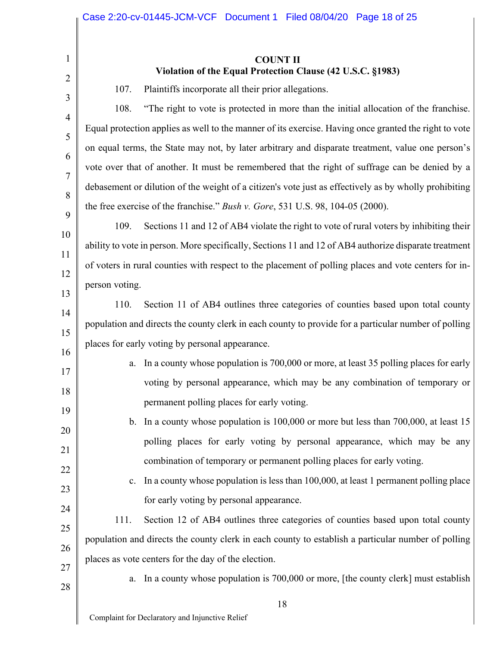**COUNT II Violation of the Equal Protection Clause (42 U.S.C. §1983)**

107. Plaintiffs incorporate all their prior allegations.

108. "The right to vote is protected in more than the initial allocation of the franchise. Equal protection applies as well to the manner of its exercise. Having once granted the right to vote on equal terms, the State may not, by later arbitrary and disparate treatment, value one person's vote over that of another. It must be remembered that the right of suffrage can be denied by a debasement or dilution of the weight of a citizen's vote just as effectively as by wholly prohibiting the free exercise of the franchise." *Bush v. Gore*, 531 U.S. 98, 104-05 (2000).

109. Sections 11 and 12 of AB4 violate the right to vote of rural voters by inhibiting their ability to vote in person. More specifically, Sections 11 and 12 of AB4 authorize disparate treatment of voters in rural counties with respect to the placement of polling places and vote centers for inperson voting.

110. Section 11 of AB4 outlines three categories of counties based upon total county population and directs the county clerk in each county to provide for a particular number of polling places for early voting by personal appearance.

- a. In a county whose population is 700,000 or more, at least 35 polling places for early voting by personal appearance, which may be any combination of temporary or permanent polling places for early voting.
- b. In a county whose population is 100,000 or more but less than 700,000, at least 15 polling places for early voting by personal appearance, which may be any combination of temporary or permanent polling places for early voting.
	- c. In a county whose population is less than 100,000, at least 1 permanent polling place for early voting by personal appearance.

111. Section 12 of AB4 outlines three categories of counties based upon total county population and directs the county clerk in each county to establish a particular number of polling places as vote centers for the day of the election.

27 28

1

2

3

4

5

6

7

8

9

10

11

12

13

14

15

16

17

18

19

20

21

22

23

24

25

26

a. In a county whose population is 700,000 or more, [the county clerk] must establish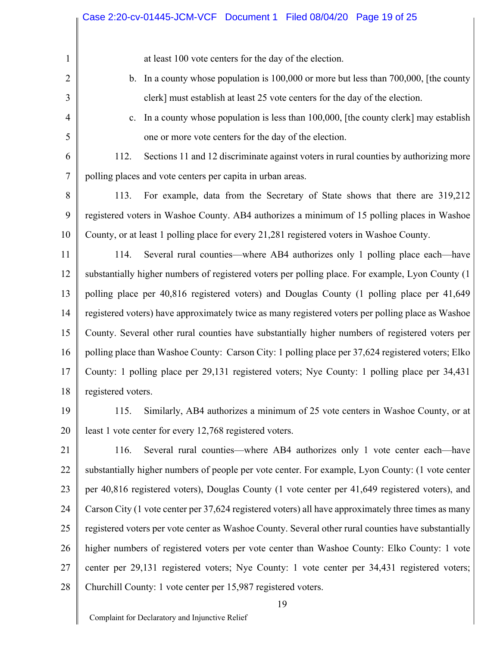at least 100 vote centers for the day of the election.

- b. In a county whose population is 100,000 or more but less than 700,000, [the county clerk] must establish at least 25 vote centers for the day of the election.
- c. In a county whose population is less than 100,000, [the county clerk] may establish one or more vote centers for the day of the election.

6 7 112. Sections 11 and 12 discriminate against voters in rural counties by authorizing more polling places and vote centers per capita in urban areas.

8 9 10 113. For example, data from the Secretary of State shows that there are 319,212 registered voters in Washoe County. AB4 authorizes a minimum of 15 polling places in Washoe County, or at least 1 polling place for every 21,281 registered voters in Washoe County.

11 12 13 14 15 16 17 18 114. Several rural counties—where AB4 authorizes only 1 polling place each—have substantially higher numbers of registered voters per polling place. For example, Lyon County (1 polling place per 40,816 registered voters) and Douglas County (1 polling place per 41,649 registered voters) have approximately twice as many registered voters per polling place as Washoe County. Several other rural counties have substantially higher numbers of registered voters per polling place than Washoe County: Carson City: 1 polling place per 37,624 registered voters; Elko County: 1 polling place per 29,131 registered voters; Nye County: 1 polling place per 34,431 registered voters.

19

20

1

2

3

4

5

115. Similarly, AB4 authorizes a minimum of 25 vote centers in Washoe County, or at least 1 vote center for every 12,768 registered voters.

21 22 23 24 25 26 27 28 116. Several rural counties—where AB4 authorizes only 1 vote center each—have substantially higher numbers of people per vote center. For example, Lyon County: (1 vote center per 40,816 registered voters), Douglas County (1 vote center per 41,649 registered voters), and Carson City (1 vote center per 37,624 registered voters) all have approximately three times as many registered voters per vote center as Washoe County. Several other rural counties have substantially higher numbers of registered voters per vote center than Washoe County: Elko County: 1 vote center per 29,131 registered voters; Nye County: 1 vote center per 34,431 registered voters; Churchill County: 1 vote center per 15,987 registered voters.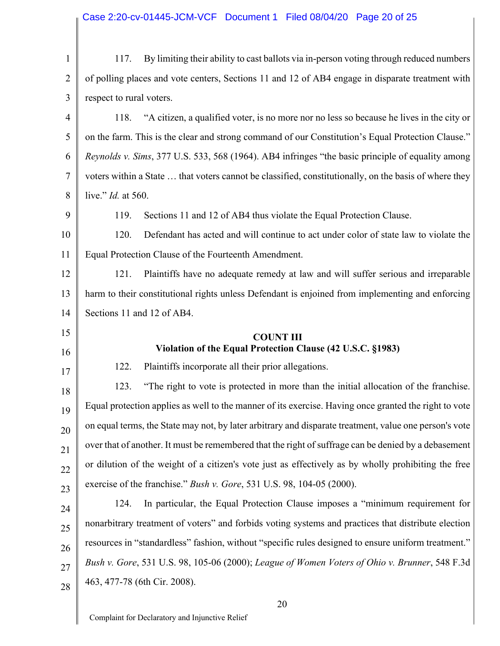| $\mathbf{1}$                                             | By limiting their ability to cast ballots via in-person voting through reduced numbers<br>117.         |  |
|----------------------------------------------------------|--------------------------------------------------------------------------------------------------------|--|
| $\overline{2}$                                           | of polling places and vote centers, Sections 11 and 12 of AB4 engage in disparate treatment with       |  |
| 3                                                        | respect to rural voters.                                                                               |  |
| 4                                                        | "A citizen, a qualified voter, is no more nor no less so because he lives in the city or<br>118.       |  |
| 5                                                        | on the farm. This is the clear and strong command of our Constitution's Equal Protection Clause."      |  |
| 6                                                        | Reynolds v. Sims, 377 U.S. 533, 568 (1964). AB4 infringes "the basic principle of equality among       |  |
| 7                                                        | voters within a State  that voters cannot be classified, constitutionally, on the basis of where they  |  |
| 8                                                        | live." <i>Id.</i> at 560.                                                                              |  |
| 9                                                        | 119.<br>Sections 11 and 12 of AB4 thus violate the Equal Protection Clause.                            |  |
| 10                                                       | 120.<br>Defendant has acted and will continue to act under color of state law to violate the           |  |
| 11                                                       | Equal Protection Clause of the Fourteenth Amendment.                                                   |  |
| 12                                                       | Plaintiffs have no adequate remedy at law and will suffer serious and irreparable<br>121.              |  |
| 13                                                       | harm to their constitutional rights unless Defendant is enjoined from implementing and enforcing       |  |
| 14                                                       | Sections 11 and 12 of AB4.                                                                             |  |
|                                                          |                                                                                                        |  |
|                                                          | <b>COUNT III</b>                                                                                       |  |
| 16                                                       | Violation of the Equal Protection Clause (42 U.S.C. §1983)                                             |  |
|                                                          | Plaintiffs incorporate all their prior allegations.<br>122.                                            |  |
|                                                          | 123.<br>"The right to vote is protected in more than the initial allocation of the franchise.          |  |
| 19                                                       | Equal protection applies as well to the manner of its exercise. Having once granted the right to vote  |  |
|                                                          | on equal terms, the State may not, by later arbitrary and disparate treatment, value one person's vote |  |
|                                                          | over that of another. It must be remembered that the right of suffrage can be denied by a debasement   |  |
|                                                          | or dilution of the weight of a citizen's vote just as effectively as by wholly prohibiting the free    |  |
|                                                          | exercise of the franchise." Bush v. Gore, 531 U.S. 98, 104-05 (2000).                                  |  |
|                                                          | In particular, the Equal Protection Clause imposes a "minimum requirement for<br>124.                  |  |
|                                                          | nonarbitrary treatment of voters" and forbids voting systems and practices that distribute election    |  |
| 15<br>17<br>18<br>20<br>21<br>22<br>23<br>24<br>25<br>26 | resources in "standardless" fashion, without "specific rules designed to ensure uniform treatment."    |  |
| 27                                                       | Bush v. Gore, 531 U.S. 98, 105-06 (2000); League of Women Voters of Ohio v. Brunner, 548 F.3d          |  |
| 28                                                       | 463, 477-78 (6th Cir. 2008).                                                                           |  |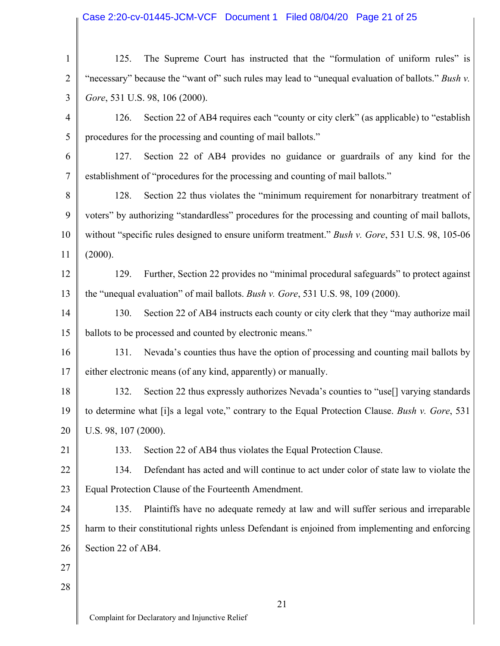# Case 2:20-cv-01445-JCM-VCF Document 1 Filed 08/04/20 Page 21 of 25

| $\mathbf{1}$   | The Supreme Court has instructed that the "formulation of uniform rules" is<br>125.                    |  |  |
|----------------|--------------------------------------------------------------------------------------------------------|--|--|
| $\overline{2}$ | "necessary" because the "want of" such rules may lead to "unequal evaluation of ballots." Bush v.      |  |  |
| 3              | Gore, 531 U.S. 98, 106 (2000).                                                                         |  |  |
| 4              | Section 22 of AB4 requires each "county or city clerk" (as applicable) to "establish"<br>126.          |  |  |
| 5              | procedures for the processing and counting of mail ballots."                                           |  |  |
| 6              | Section 22 of AB4 provides no guidance or guardrails of any kind for the<br>127.                       |  |  |
| 7              | establishment of "procedures for the processing and counting of mail ballots."                         |  |  |
| 8              | Section 22 thus violates the "minimum requirement for nonarbitrary treatment of<br>128.                |  |  |
| 9              | voters" by authorizing "standardless" procedures for the processing and counting of mail ballots,      |  |  |
| 10             | without "specific rules designed to ensure uniform treatment." Bush v. Gore, 531 U.S. 98, 105-06       |  |  |
| 11             | (2000).                                                                                                |  |  |
| 12             | Further, Section 22 provides no "minimal procedural safeguards" to protect against<br>129.             |  |  |
| 13             | the "unequal evaluation" of mail ballots. <i>Bush v. Gore</i> , 531 U.S. 98, 109 (2000).               |  |  |
| 14             | 130.<br>Section 22 of AB4 instructs each county or city clerk that they "may authorize mail            |  |  |
| 15             | ballots to be processed and counted by electronic means."                                              |  |  |
| 16             | Nevada's counties thus have the option of processing and counting mail ballots by<br>131.              |  |  |
| 17             | either electronic means (of any kind, apparently) or manually.                                         |  |  |
| 18             | Section 22 thus expressly authorizes Nevada's counties to "use <sup>[]</sup> varying standards<br>132. |  |  |
| 19             | to determine what [i]s a legal vote," contrary to the Equal Protection Clause. Bush v. Gore, 531       |  |  |
| 20             | U.S. 98, 107 (2000).                                                                                   |  |  |
| 21             | Section 22 of AB4 thus violates the Equal Protection Clause.<br>133.                                   |  |  |
| 22             | Defendant has acted and will continue to act under color of state law to violate the<br>134.           |  |  |
| 23             | Equal Protection Clause of the Fourteenth Amendment.                                                   |  |  |
| 24             | 135.<br>Plaintiffs have no adequate remedy at law and will suffer serious and irreparable              |  |  |
| 25             | harm to their constitutional rights unless Defendant is enjoined from implementing and enforcing       |  |  |
| 26             | Section 22 of AB4.                                                                                     |  |  |
| 27             |                                                                                                        |  |  |
| 28             |                                                                                                        |  |  |
|                | 21                                                                                                     |  |  |
|                | Complaint for Declaratory and Injunctive Relief                                                        |  |  |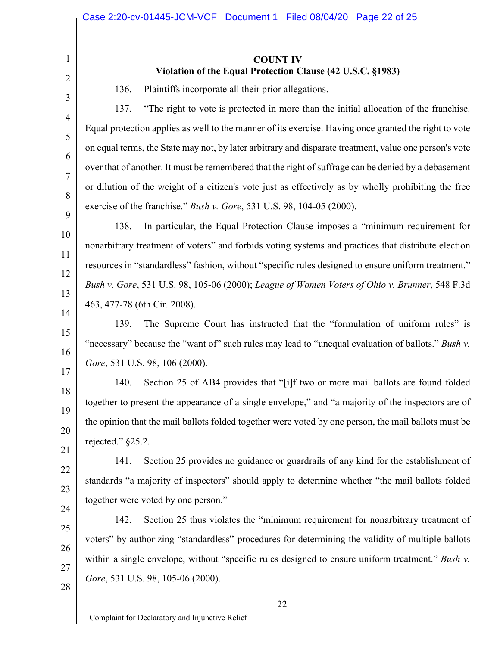### **COUNT IV Violation of the Equal Protection Clause (42 U.S.C. §1983)**

136. Plaintiffs incorporate all their prior allegations.

137. "The right to vote is protected in more than the initial allocation of the franchise. Equal protection applies as well to the manner of its exercise. Having once granted the right to vote on equal terms, the State may not, by later arbitrary and disparate treatment, value one person's vote over that of another. It must be remembered that the right of suffrage can be denied by a debasement or dilution of the weight of a citizen's vote just as effectively as by wholly prohibiting the free exercise of the franchise." *Bush v. Gore*, 531 U.S. 98, 104-05 (2000).

138. In particular, the Equal Protection Clause imposes a "minimum requirement for nonarbitrary treatment of voters" and forbids voting systems and practices that distribute election resources in "standardless" fashion, without "specific rules designed to ensure uniform treatment." *Bush v. Gore*, 531 U.S. 98, 105-06 (2000); *League of Women Voters of Ohio v. Brunner*, 548 F.3d 463, 477-78 (6th Cir. 2008).

139. The Supreme Court has instructed that the "formulation of uniform rules" is "necessary" because the "want of" such rules may lead to "unequal evaluation of ballots." *Bush v*. *Gore*, 531 U.S. 98, 106 (2000).

140. Section 25 of AB4 provides that "[i]f two or more mail ballots are found folded together to present the appearance of a single envelope," and "a majority of the inspectors are of the opinion that the mail ballots folded together were voted by one person, the mail ballots must be rejected." §25.2.

141. Section 25 provides no guidance or guardrails of any kind for the establishment of standards "a majority of inspectors" should apply to determine whether "the mail ballots folded together were voted by one person."

142. Section 25 thus violates the "minimum requirement for nonarbitrary treatment of voters" by authorizing "standardless" procedures for determining the validity of multiple ballots within a single envelope, without "specific rules designed to ensure uniform treatment." *Bush v*. *Gore*, 531 U.S. 98, 105-06 (2000).

1

2

3

4

5

6

7

8

9

10

11

12

13

14

15

16

17

18

19

20

21

22

23

24

25

26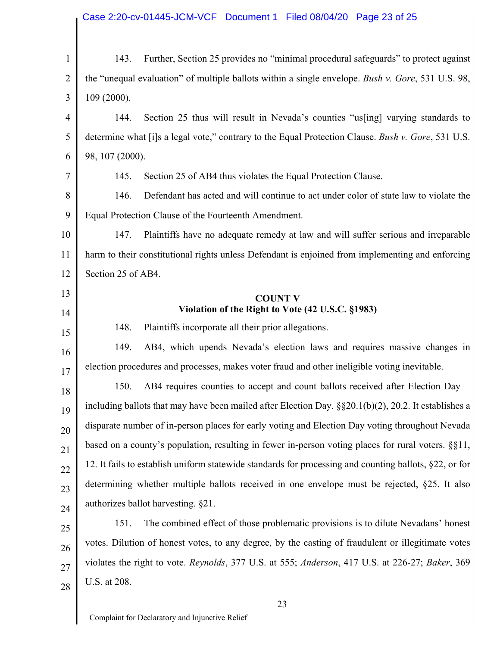# Case 2:20-cv-01445-JCM-VCF Document 1 Filed 08/04/20 Page 23 of 25

| $\mathbf{1}$   | 143.                                                                                                 | Further, Section 25 provides no "minimal procedural safeguards" to protect against                     |
|----------------|------------------------------------------------------------------------------------------------------|--------------------------------------------------------------------------------------------------------|
| $\overline{2}$ | the "unequal evaluation" of multiple ballots within a single envelope. Bush v. Gore, 531 U.S. 98,    |                                                                                                        |
| 3              | 109 (2000).                                                                                          |                                                                                                        |
| $\overline{4}$ | 144.                                                                                                 | Section 25 thus will result in Nevada's counties "us [ing] varying standards to                        |
| 5              |                                                                                                      | determine what [i]s a legal vote," contrary to the Equal Protection Clause. Bush v. Gore, 531 U.S.     |
| 6              | 98, 107 (2000).                                                                                      |                                                                                                        |
| 7              | 145.                                                                                                 | Section 25 of AB4 thus violates the Equal Protection Clause.                                           |
| 8              | 146.                                                                                                 | Defendant has acted and will continue to act under color of state law to violate the                   |
| 9              | Equal Protection Clause of the Fourteenth Amendment.                                                 |                                                                                                        |
| 10             | 147.                                                                                                 | Plaintiffs have no adequate remedy at law and will suffer serious and irreparable                      |
| 11             |                                                                                                      | harm to their constitutional rights unless Defendant is enjoined from implementing and enforcing       |
| 12             | Section 25 of AB4.                                                                                   |                                                                                                        |
| 13             |                                                                                                      | <b>COUNT V</b>                                                                                         |
| 14             |                                                                                                      | Violation of the Right to Vote (42 U.S.C. §1983)                                                       |
| 15             | 148.                                                                                                 | Plaintiffs incorporate all their prior allegations.                                                    |
| 16             | 149.                                                                                                 | AB4, which upends Nevada's election laws and requires massive changes in                               |
| 17             |                                                                                                      | election procedures and processes, makes voter fraud and other ineligible voting inevitable.           |
| 18             | 150.                                                                                                 | AB4 requires counties to accept and count ballots received after Election Day-                         |
| 19             | including ballots that may have been mailed after Election Day. §§20.1(b)(2), 20.2. It establishes a |                                                                                                        |
| 20             | disparate number of in-person places for early voting and Election Day voting throughout Nevada      |                                                                                                        |
| 21             | based on a county's population, resulting in fewer in-person voting places for rural voters. §§11,   |                                                                                                        |
| 22             |                                                                                                      | 12. It fails to establish uniform statewide standards for processing and counting ballots, §22, or for |
| 23             | determining whether multiple ballots received in one envelope must be rejected, §25. It also         |                                                                                                        |
| 24             | authorizes ballot harvesting. §21.                                                                   |                                                                                                        |
| 25             | 151.                                                                                                 | The combined effect of those problematic provisions is to dilute Nevadans' honest                      |
| 26             |                                                                                                      | votes. Dilution of honest votes, to any degree, by the casting of fraudulent or illegitimate votes     |
| 27             | violates the right to vote. Reynolds, 377 U.S. at 555; Anderson, 417 U.S. at 226-27; Baker, 369      |                                                                                                        |
| 28             | U.S. at 208.                                                                                         |                                                                                                        |
|                |                                                                                                      | 2 <sub>2</sub>                                                                                         |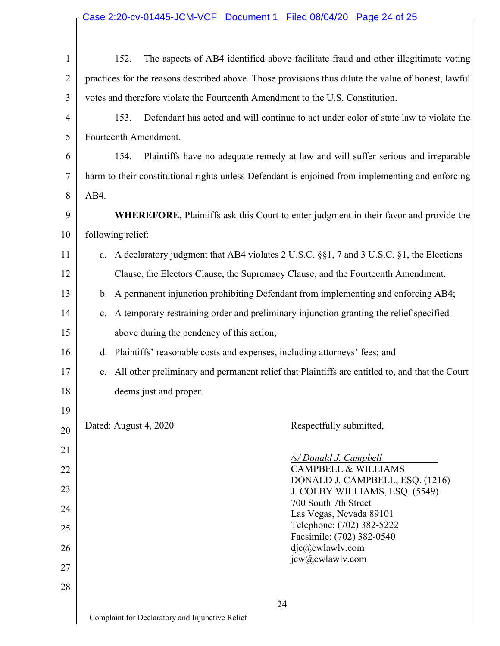# Case 2:20-cv-01445-JCM-VCF Document 1 Filed 08/04/20 Page 24 of 25

| $\mathbf{1}$   | 152.<br>The aspects of AB4 identified above facilitate fraud and other illegitimate voting           |  |  |
|----------------|------------------------------------------------------------------------------------------------------|--|--|
| $\overline{2}$ | practices for the reasons described above. Those provisions thus dilute the value of honest, lawful  |  |  |
| 3              | votes and therefore violate the Fourteenth Amendment to the U.S. Constitution.                       |  |  |
| $\overline{4}$ | 153.<br>Defendant has acted and will continue to act under color of state law to violate the         |  |  |
| 5              | Fourteenth Amendment.                                                                                |  |  |
| 6              | 154.<br>Plaintiffs have no adequate remedy at law and will suffer serious and irreparable            |  |  |
| 7              | harm to their constitutional rights unless Defendant is enjoined from implementing and enforcing     |  |  |
| 8              | AB4.                                                                                                 |  |  |
| 9              | WHEREFORE, Plaintiffs ask this Court to enter judgment in their favor and provide the                |  |  |
| 10             | following relief:                                                                                    |  |  |
| 11             | A declaratory judgment that AB4 violates 2 U.S.C. §§1, 7 and 3 U.S.C. §1, the Elections<br>a.        |  |  |
| 12             | Clause, the Electors Clause, the Supremacy Clause, and the Fourteenth Amendment.                     |  |  |
| 13             | A permanent injunction prohibiting Defendant from implementing and enforcing AB4;<br>b.              |  |  |
| 14             | A temporary restraining order and preliminary injunction granting the relief specified<br>c.         |  |  |
| 15             | above during the pendency of this action;                                                            |  |  |
| 16             | Plaintiffs' reasonable costs and expenses, including attorneys' fees; and<br>d.                      |  |  |
| 17             | All other preliminary and permanent relief that Plaintiffs are entitled to, and that the Court<br>e. |  |  |
| 18             | deems just and proper.                                                                               |  |  |
| 19             |                                                                                                      |  |  |
| 20             | Dated: August 4, 2020<br>Respectfully submitted,                                                     |  |  |
| 21             | /s/ Donald J. Campbell                                                                               |  |  |
| 22             | <b>CAMPBELL &amp; WILLIAMS</b><br>DONALD J. CAMPBELL, ESQ. (1216)                                    |  |  |
| 23             | J. COLBY WILLIAMS, ESQ. (5549)<br>700 South 7th Street                                               |  |  |
| 24             | Las Vegas, Nevada 89101                                                                              |  |  |
| 25             | Telephone: (702) 382-5222<br>Facsimile: (702) 382-0540                                               |  |  |
| 26             | djc@cwlawlv.com<br>jcw@cwlawlv.com                                                                   |  |  |
| 27             |                                                                                                      |  |  |
| 28             |                                                                                                      |  |  |
|                | 24<br>Complaint for Declaratory and Injunctive Relief                                                |  |  |
|                |                                                                                                      |  |  |